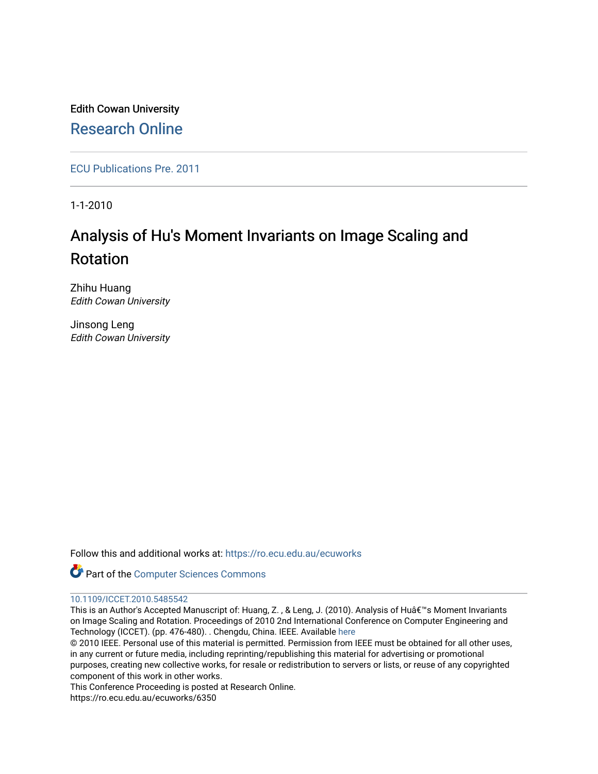Edith Cowan University [Research Online](https://ro.ecu.edu.au/) 

[ECU Publications Pre. 2011](https://ro.ecu.edu.au/ecuworks)

1-1-2010

# Analysis of Hu's Moment Invariants on Image Scaling and Rotation

Zhihu Huang Edith Cowan University

Jinsong Leng Edith Cowan University

Follow this and additional works at: [https://ro.ecu.edu.au/ecuworks](https://ro.ecu.edu.au/ecuworks?utm_source=ro.ecu.edu.au%2Fecuworks%2F6350&utm_medium=PDF&utm_campaign=PDFCoverPages) 

Part of the [Computer Sciences Commons](http://network.bepress.com/hgg/discipline/142?utm_source=ro.ecu.edu.au%2Fecuworks%2F6350&utm_medium=PDF&utm_campaign=PDFCoverPages)

# [10.1109/ICCET.2010.5485542](http://dx.doi.org/10.1109/ICCET.2010.5485542)

This is an Author's Accepted Manuscript of: Huang, Z., & Leng, J. (2010). Analysis of Hu's Moment Invariants on Image Scaling and Rotation. Proceedings of 2010 2nd International Conference on Computer Engineering and Technology (ICCET). (pp. 476-480). . Chengdu, China. IEEE. Available [here](http://dx.doi.org/10.1109/ICCET.2010.5485542)

© 2010 IEEE. Personal use of this material is permitted. Permission from IEEE must be obtained for all other uses, in any current or future media, including reprinting/republishing this material for advertising or promotional purposes, creating new collective works, for resale or redistribution to servers or lists, or reuse of any copyrighted component of this work in other works.

This Conference Proceeding is posted at Research Online.

https://ro.ecu.edu.au/ecuworks/6350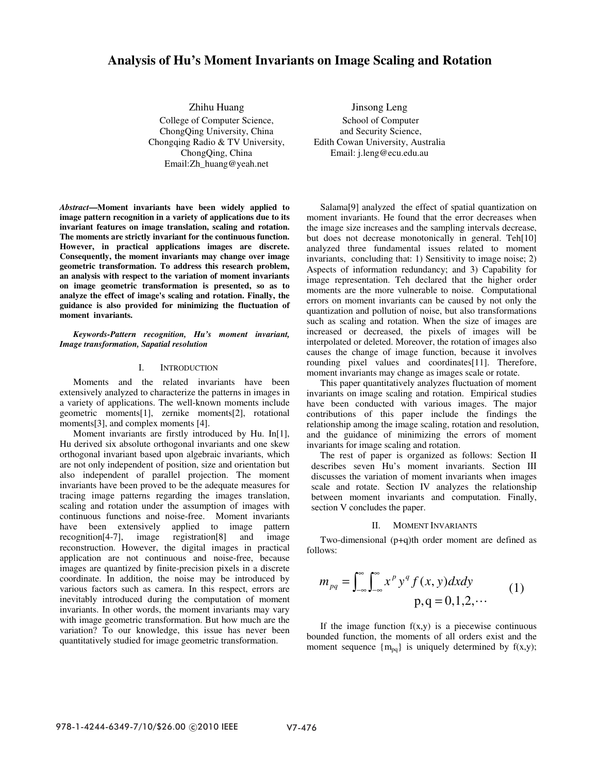# **Analysis of Hu's Moment Invariants on Image Scaling and Rotation**

Zhihu Huang College of Computer Science, ChongQing University, China Chongqing Radio & TV University, ChongQing, China Email:Zh\_huang@yeah.net

*Abstract***—Moment invariants have been widely applied to image pattern recognition in a variety of applications due to its invariant features on image translation, scaling and rotation. The moments are strictly invariant for the continuous function. However, in practical applications images are discrete. Consequently, the moment invariants may change over image geometric transformation. To address this research problem, an analysis with respect to the variation of moment invariants on image geometric transformation is presented, so as to analyze the effect of image's scaling and rotation. Finally, the guidance is also provided for minimizing the fluctuation of moment invariants.** 

*Keywords-Pattern recognition, Hu's moment invariant, Image transformation, Sapatial resolution* 

# I. INTRODUCTION

Moments and the related invariants have been extensively analyzed to characterize the patterns in images in a variety of applications. The well-known moments include geometric moments[1], zernike moments[2], rotational moments[3], and complex moments [4].

Moment invariants are firstly introduced by Hu. In[1], Hu derived six absolute orthogonal invariants and one skew orthogonal invariant based upon algebraic invariants, which are not only independent of position, size and orientation but also independent of parallel projection. The moment invariants have been proved to be the adequate measures for tracing image patterns regarding the images translation, scaling and rotation under the assumption of images with continuous functions and noise-free. Moment invariants have been extensively applied to image pattern<br>recognition<sup>[4-7]</sup>, image registration<sup>[8]</sup> and image  $recognition[4-7]$ , image reconstruction. However, the digital images in practical application are not continuous and noise-free, because images are quantized by finite-precision pixels in a discrete coordinate. In addition, the noise may be introduced by various factors such as camera. In this respect, errors are inevitably introduced during the computation of moment invariants. In other words, the moment invariants may vary with image geometric transformation. But how much are the variation? To our knowledge, this issue has never been quantitatively studied for image geometric transformation.

Jinsong Leng School of Computer and Security Science, Edith Cowan University, Australia Email: j.leng@ecu.edu.au

Salama[9] analyzed the effect of spatial quantization on moment invariants. He found that the error decreases when the image size increases and the sampling intervals decrease, but does not decrease monotonically in general. Teh[10] analyzed three fundamental issues related to moment invariants, concluding that: 1) Sensitivity to image noise; 2) Aspects of information redundancy; and 3) Capability for image representation. Teh declared that the higher order moments are the more vulnerable to noise. Computational errors on moment invariants can be caused by not only the quantization and pollution of noise, but also transformations such as scaling and rotation. When the size of images are increased or decreased, the pixels of images will be interpolated or deleted. Moreover, the rotation of images also causes the change of image function, because it involves rounding pixel values and coordinates[11]. Therefore, moment invariants may change as images scale or rotate.

This paper quantitatively analyzes fluctuation of moment invariants on image scaling and rotation. Empirical studies have been conducted with various images. The major contributions of this paper include the findings the relationship among the image scaling, rotation and resolution, and the guidance of minimizing the errors of moment invariants for image scaling and rotation.

The rest of paper is organized as follows: Section II describes seven Hu's moment invariants. Section III discusses the variation of moment invariants when images scale and rotate. Section IV analyzes the relationship between moment invariants and computation. Finally, section V concludes the paper.

## II. MOMENT INVARIANTS

Two-dimensional (p+q)th order moment are defined as follows:

$$
m_{pq} = \int_{-\infty}^{\infty} \int_{-\infty}^{\infty} x^p y^q f(x, y) dx dy
$$
  
p,q = 0,1,2,... (1)

If the image function  $f(x,y)$  is a piecewise continuous bounded function, the moments of all orders exist and the moment sequence  ${m_{pq}}$  is uniquely determined by  $f(x,y)$ ;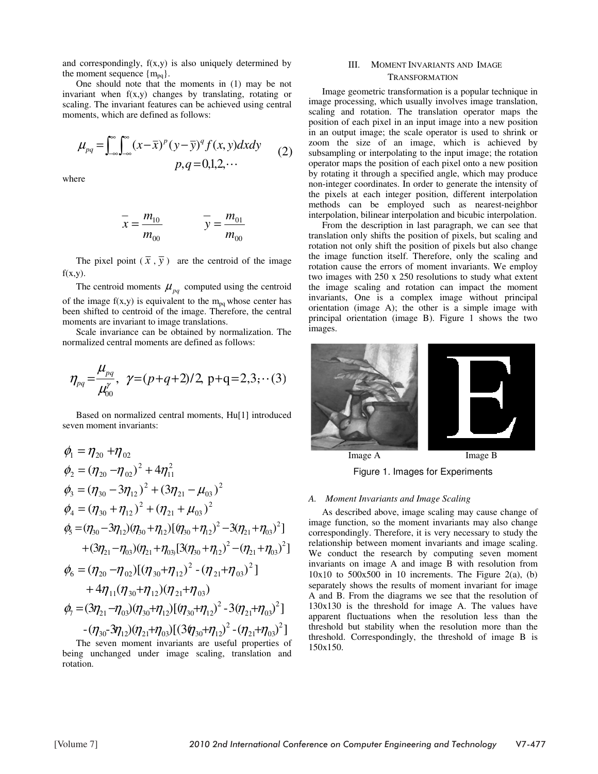and correspondingly, f(x,y) is also uniquely determined by the moment sequence  ${m_{pq}}$ .

One should note that the moments in (1) may be not invariant when  $f(x,y)$  changes by translating, rotating or scaling. The invariant features can be achieved using central moments, which are defined as follows:

$$
\mu_{pq} = \int_{-\infty}^{\infty} \int_{-\infty}^{\infty} (x - \bar{x})^p (y - \bar{y})^q f(x, y) dx dy
$$
  
 
$$
p, q = 0, 1, 2, \cdots
$$
 (2)

where

$$
\frac{1}{x} = \frac{m_{10}}{m_{00}} \qquad \qquad \frac{1}{y} = \frac{m_{01}}{m_{00}}
$$

The pixel point  $(\overline{x}, \overline{y})$  are the centroid of the image  $f(x,y)$ .

The centroid moments  $\mu_{pq}$  computed using the centroid of the image  $f(x,y)$  is equivalent to the m<sub>pq</sub> whose center has been shifted to centroid of the image. Therefore, the central moments are invariant to image translations.

Scale invariance can be obtained by normalization. The normalized central moments are defined as follows:

$$
\eta_{pq} = \frac{\mu_{pq}}{\mu_{00}^{\gamma}}, \ \gamma = (p+q+2)/2, \ p+q = 2,3; \cdots (3)
$$

Based on normalized central moments, Hu[1] introduced seven moment invariants:

$$
\phi_1 = \eta_{20} + \eta_{02}
$$
\n
$$
\phi_2 = (\eta_{20} - \eta_{02})^2 + 4\eta_{11}^2
$$
\n
$$
\phi_3 = (\eta_{30} - 3\eta_{12})^2 + (3\eta_{21} - \mu_{03})^2
$$
\n
$$
\phi_4 = (\eta_{30} + \eta_{12})^2 + (\eta_{21} + \mu_{03})^2
$$
\n
$$
\phi_5 = (\eta_{30} - 3\eta_{12})(\eta_{30} + \eta_{12})[(\eta_{30} + \eta_{12})^2 - 3(\eta_{21} + \eta_{03})^2]
$$
\n
$$
+ (3\eta_{21} - \eta_{03})(\eta_{21} + \eta_{03})[3(\eta_{30} + \eta_{12})^2 - (\eta_{21} + \eta_{03})^2]
$$
\n
$$
\phi_6 = (\eta_{20} - \eta_{02})[(\eta_{30} + \eta_{12})^2 - (\eta_{21} + \eta_{03})^2]
$$
\n
$$
+ 4\eta_{11}(\eta_{30} + \eta_{12})(\eta_{21} + \eta_{03})
$$
\n
$$
\phi_7 = (3\eta_{21} - \eta_{03})(\eta_{30} + \eta_{12})[(\eta_{30} + \eta_{12})^2 - 3(\eta_{21} + \eta_{03})^2]
$$
\n
$$
-(\eta_{30} - 3\eta_{12})(\eta_{21} + \eta_{03})[(3\eta_{30} + \eta_{12})^2 - (\eta_{21} + \eta_{03})^2]
$$
\nThe seven moment invariants are useful properties of

The seven moment invariants are useful properties of being unchanged under image scaling, translation and rotation.

# III. MOMENT INVARIANTS AND IMAGE TRANSFORMATION

Image geometric transformation is a popular technique in image processing, which usually involves image translation, scaling and rotation. The translation operator maps the position of each pixel in an input image into a new position in an output image; the scale operator is used to shrink or zoom the size of an image, which is achieved by subsampling or interpolating to the input image; the rotation operator maps the position of each pixel onto a new position by rotating it through a specified angle, which may produce non-integer coordinates. In order to generate the intensity of the pixels at each integer position, different interpolation methods can be employed such as nearest-neighbor interpolation, bilinear interpolation and bicubic interpolation.

From the description in last paragraph, we can see that translation only shifts the position of pixels, but scaling and rotation not only shift the position of pixels but also change the image function itself. Therefore, only the scaling and rotation cause the errors of moment invariants. We employ two images with 250 x 250 resolutions to study what extent the image scaling and rotation can impact the moment invariants, One is a complex image without principal orientation (image A); the other is a simple image with principal orientation (image B). Figure 1 shows the two images.



Figure 1. Images for Experiments

# *A. Moment Invariants and Image Scaling*

As described above, image scaling may cause change of image function, so the moment invariants may also change correspondingly. Therefore, it is very necessary to study the relationship between moment invariants and image scaling. We conduct the research by computing seven moment invariants on image A and image B with resolution from  $10x10$  to  $500x500$  in 10 increments. The Figure 2(a), (b) separately shows the results of moment invariant for image A and B. From the diagrams we see that the resolution of 130x130 is the threshold for image A. The values have apparent fluctuations when the resolution less than the threshold but stability when the resolution more than the threshold. Correspondingly, the threshold of image B is 150x150.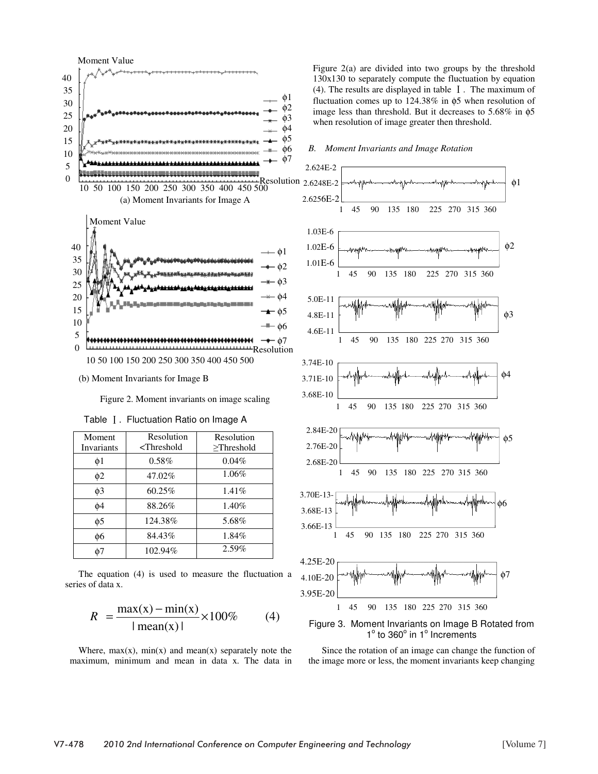

Figure 2. Moment invariants on image scaling

| Moment     | Resolution       | Resolution      |  |  |
|------------|------------------|-----------------|--|--|
| Invariants | $\leq$ Threshold | $\ge$ Threshold |  |  |
| $\phi$ 1   | $0.58\%$         | $0.04\%$        |  |  |
| $\phi$ 2   | 47.02%           | 1.06%           |  |  |
| $\phi$ 3   | 60.25%           | $1.41\%$        |  |  |
| $\phi$ 4   | 88.26%           | $1.40\%$        |  |  |
| $\phi$ 5   | 124.38%          | 5.68%           |  |  |
| ф6         | 84.43%           | 1.84%           |  |  |
| ሐ7         | 102.94%          | 2.59%           |  |  |

Table I. Fluctuation Ratio on Image A

The equation (4) is used to measure the fluctuation a series of data x.

$$
R = \frac{\max(x) - \min(x)}{|\operatorname{mean}(x)|} \times 100\% \tag{4}
$$

Where,  $max(x)$ ,  $min(x)$  and  $mean(x)$  separately note the maximum, minimum and mean in data x. The data in Figure 2(a) are divided into two groups by the threshold 130x130 to separately compute the fluctuation by equation (4). The results are displayed in table  $\;$  I . The maximum of fluctuation comes up to 124.38% in φ5 when resolution of image less than threshold. But it decreases to 5.68% in φ5 when resolution of image greater then threshold.

## *B. Moment Invariants and Image Rotation*



Figure 3. Moment Invariants on Image B Rotated from 1° to 360° in 1° Increments

Since the rotation of an image can change the function of the image more or less, the moment invariants keep changing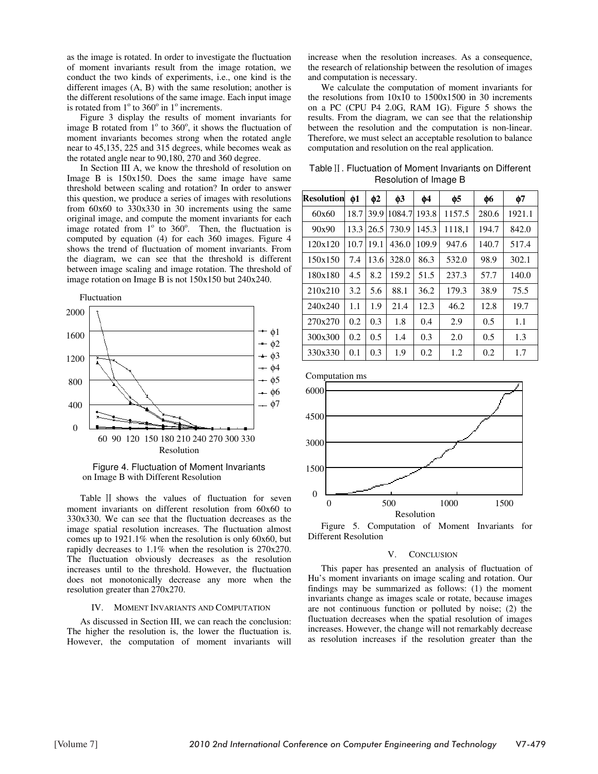as the image is rotated. In order to investigate the fluctuation of moment invariants result from the image rotation, we conduct the two kinds of experiments, i.e., one kind is the different images (A, B) with the same resolution; another is the different resolutions of the same image. Each input image is rotated from  $1^\circ$  to  $360^\circ$  in  $1^\circ$  increments.

Figure 3 display the results of moment invariants for image  $\overline{B}$  rotated from  $1^\circ$  to 360°, it shows the fluctuation of moment invariants becomes strong when the rotated angle near to 45,135, 225 and 315 degrees, while becomes weak as the rotated angle near to 90,180, 270 and 360 degree.

In Section III A, we know the threshold of resolution on Image B is 150x150. Does the same image have same threshold between scaling and rotation? In order to answer this question, we produce a series of images with resolutions from 60x60 to 330x330 in 30 increments using the same original image, and compute the moment invariants for each image rotated from  $1^\circ$  to 360°. Then, the fluctuation is computed by equation (4) for each 360 images. Figure 4 shows the trend of fluctuation of moment invariants. From the diagram, we can see that the threshold is different between image scaling and image rotation. The threshold of image rotation on Image B is not 150x150 but 240x240.



Figure 4. Fluctuation of Moment Invariants on Image B with Different Resolution

Table II shows the values of fluctuation for seven moment invariants on different resolution from 60x60 to 330x330. We can see that the fluctuation decreases as the image spatial resolution increases. The fluctuation almost comes up to 1921.1% when the resolution is only 60x60, but rapidly decreases to 1.1% when the resolution is 270x270. The fluctuation obviously decreases as the resolution increases until to the threshold. However, the fluctuation does not monotonically decrease any more when the resolution greater than 270x270.

## IV. MOMENT INVARIANTS AND COMPUTATION

As discussed in Section III, we can reach the conclusion: The higher the resolution is, the lower the fluctuation is. However, the computation of moment invariants will

increase when the resolution increases. As a consequence, the research of relationship between the resolution of images and computation is necessary.

We calculate the computation of moment invariants for the resolutions from 10x10 to 1500x1500 in 30 increments on a PC (CPU P4 2.0G, RAM 1G). Figure 5 shows the results. From the diagram, we can see that the relationship between the resolution and the computation is non-linear. Therefore, we must select an acceptable resolution to balance computation and resolution on the real application.

Table II. Fluctuation of Moment Invariants on Different Resolution of Image B

| Resolution | Ф1   | $\phi$ 2 | $\phi$ 3 | ф4    | ф5     | φб    | ф7     |
|------------|------|----------|----------|-------|--------|-------|--------|
| 60x60      | 18.7 | 39.9     | 1084.7   | 193.8 | 1157.5 | 280.6 | 1921.1 |
| 90x90      | 13.3 | 26.5     | 730.9    | 145.3 | 1118,1 | 194.7 | 842.0  |
| 120x120    | 10.7 | 19.1     | 436.0    | 109.9 | 947.6  | 140.7 | 517.4  |
| 150x150    | 7.4  | 13.6     | 328.0    | 86.3  | 532.0  | 98.9  | 302.1  |
| 180x180    | 4.5  | 8.2      | 159.2    | 51.5  | 237.3  | 57.7  | 140.0  |
| 210x210    | 3.2  | 5.6      | 88.1     | 36.2  | 179.3  | 38.9  | 75.5   |
| 240x240    | 1.1  | 1.9      | 21.4     | 12.3  | 46.2   | 12.8  | 19.7   |
| 270x270    | 0.2  | 0.3      | 1.8      | 0.4   | 2.9    | 0.5   | 1.1    |
| 300x300    | 0.2  | 0.5      | 1.4      | 0.3   | 2.0    | 0.5   | 1.3    |
| 330x330    | 0.1  | 0.3      | 1.9      | 0.2   | 1.2    | 0.2   | 1.7    |





#### V. CONCLUSION

This paper has presented an analysis of fluctuation of Hu's moment invariants on image scaling and rotation. Our findings may be summarized as follows: (1) the moment invariants change as images scale or rotate, because images are not continuous function or polluted by noise; (2) the fluctuation decreases when the spatial resolution of images increases. However, the change will not remarkably decrease as resolution increases if the resolution greater than the